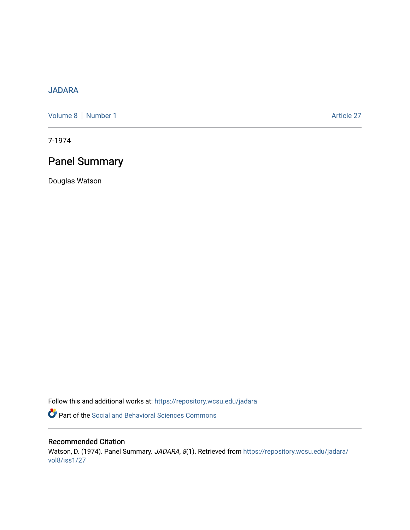## [JADARA](https://repository.wcsu.edu/jadara)

[Volume 8](https://repository.wcsu.edu/jadara/vol8) | [Number 1](https://repository.wcsu.edu/jadara/vol8/iss1) Article 27

7-1974

## Panel Summary

Douglas Watson

Follow this and additional works at: [https://repository.wcsu.edu/jadara](https://repository.wcsu.edu/jadara?utm_source=repository.wcsu.edu%2Fjadara%2Fvol8%2Fiss1%2F27&utm_medium=PDF&utm_campaign=PDFCoverPages)

Part of the [Social and Behavioral Sciences Commons](http://network.bepress.com/hgg/discipline/316?utm_source=repository.wcsu.edu%2Fjadara%2Fvol8%2Fiss1%2F27&utm_medium=PDF&utm_campaign=PDFCoverPages) 

## Recommended Citation

Watson, D. (1974). Panel Summary. JADARA, 8(1). Retrieved from [https://repository.wcsu.edu/jadara/](https://repository.wcsu.edu/jadara/vol8/iss1/27?utm_source=repository.wcsu.edu%2Fjadara%2Fvol8%2Fiss1%2F27&utm_medium=PDF&utm_campaign=PDFCoverPages) [vol8/iss1/27](https://repository.wcsu.edu/jadara/vol8/iss1/27?utm_source=repository.wcsu.edu%2Fjadara%2Fvol8%2Fiss1%2F27&utm_medium=PDF&utm_campaign=PDFCoverPages)